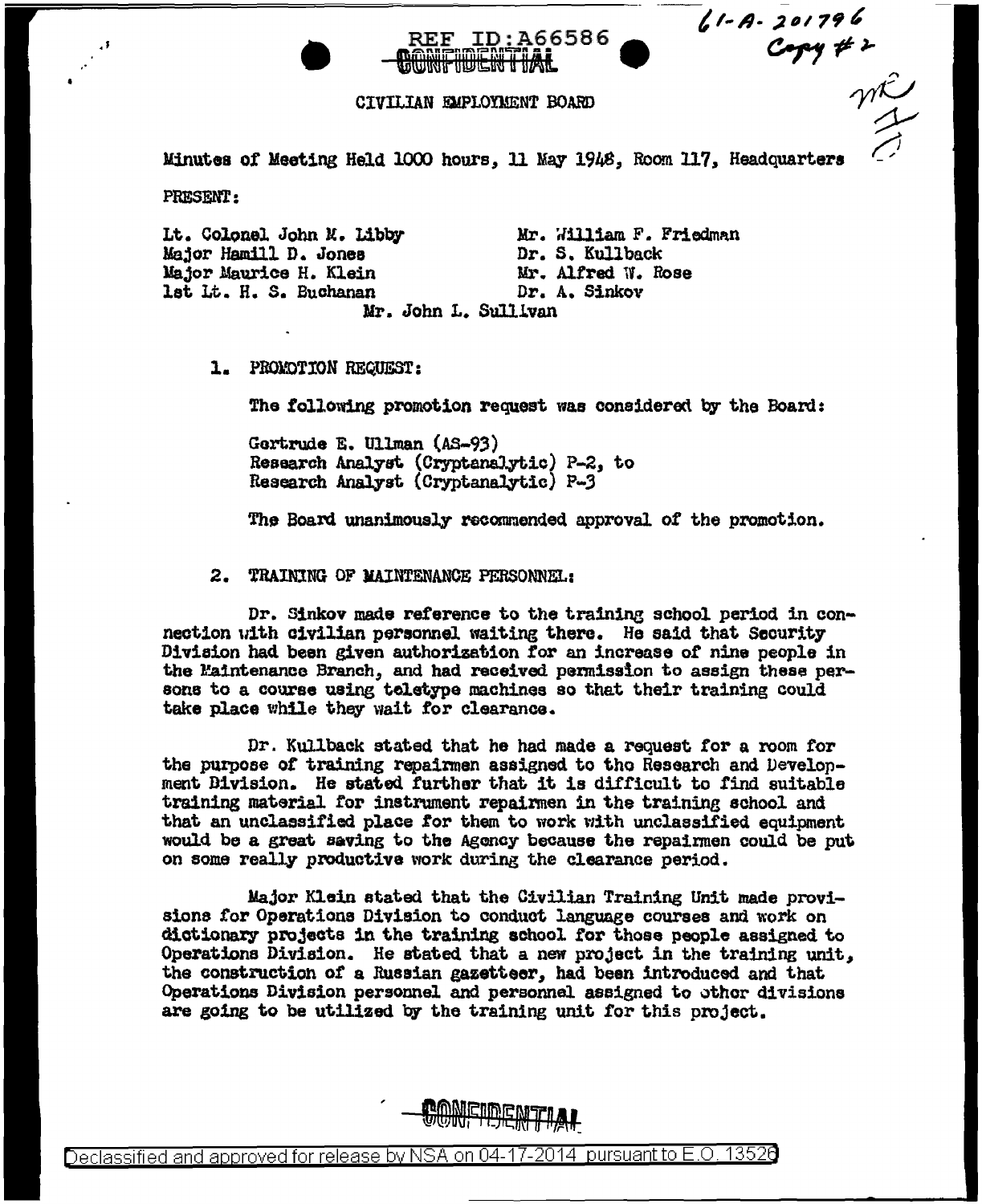$61 - A - 201796$ <br>Copy # 2

## CIVILIAN EMPLOYMENT BOARD

**TOWNETHOIL WELL HARE** 

Minutes of Meeting Held 1000 hours, 11 May 1948, Room 117, Headquarters

**REF ID:A66586** 

**PRESENT:** 

Lt. Colonel John M. Libby Major Hamill D. Jones Major Maurice H. Klein lst Lt. H. S. Buchanan

Mr. William F. Friedman Dr. S. Kullback Mr. Alfred W. Rose Dr. A. Sinkov

Mr. John L. Sullivan

1. PROMOTION REQUEST:

The following promotion request was considered by the Board:

Gertrude E. Ullman (AS-93) Research Analyst (Cryptanalytic) P-2, to Research Analyst (Cryptanalytic) P-3

The Board unanimously recommended approval of the promotion.

2. TRAINING OF MAINTENANCE PERSONNEL:

Dr. Sinkov made reference to the training school period in connection with civilian personnel waiting there. He said that Security Division had been given authorization for an increase of nine people in the Maintenance Branch, and had received permission to assign these persons to a course using teletype machines so that their training could take place while they wait for clearance.

Dr. Kullback stated that he had made a request for a room for the purpose of training repairmen assigned to the Research and Develonment Bivision. He stated further that it is difficult to find suitable training material for instrument repairmen in the training school and that an unclassified place for them to work with unclassified equipment would be a great saving to the Agency because the repairmen could be put on some really productive work during the clearance period.

Major Klein stated that the Civilian Training Unit made provisions for Operations Division to conduct language courses and work on dictionary projects in the training school for those people assigned to Operations Division. He stated that a new project in the training unit. the construction of a Russian gazetteer, had been introduced and that Operations Division personnel and personnel assigned to other divisions are going to be utilized by the training unit for this project.

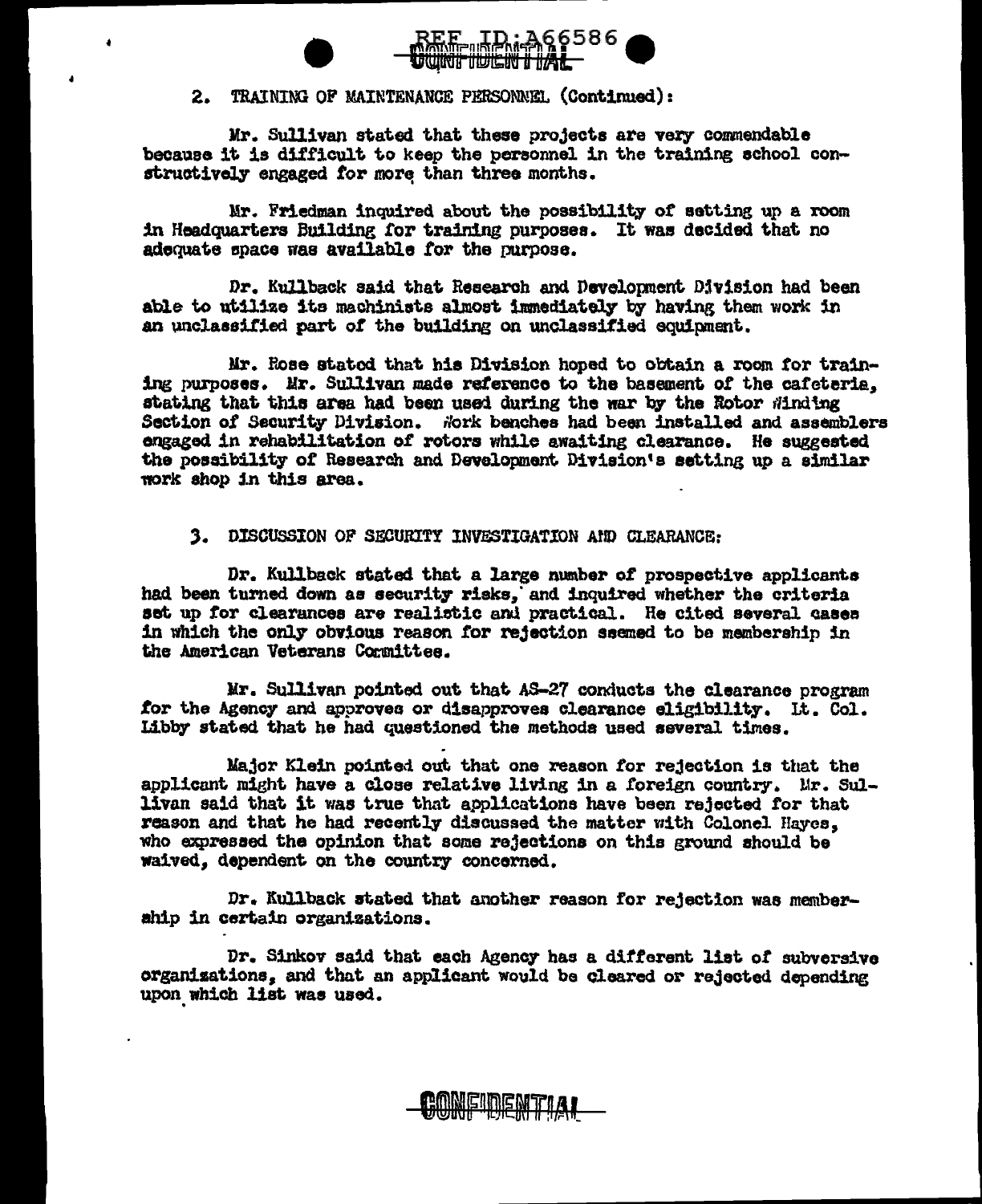

## 2. TRAINING OF MAINTENANCE PERSONNEL (Continued):

Mr. Sullivan stated that these projects are very commendable because it is difficult to keep the personnel in the training school constructively engaged for more than three months.

Mr. Friedman inquired about the possibility of setting up a room in Headquarters Building for training purposes. It was decided that no adequate space was available for the purpose.

Dr. Kullback said that Research and Development Division had been able to utilize its machinists almost immediately by having them work in an unclassified part of the building on unclassified equipment.

Mr. Rose stated that his Division hoped to obtain a room for training purposes. Mr. Sullivan made reference to the basement of the cafeteria. stating that this area had been used during the war by the Rotor Winding Section of Security Division. Nork benches had been installed and assemblers engaged in rehabilitation of rotors while awaiting clearance. He suggested the possibility of Research and Development Division's setting up a similar work shop in this area.

## 3. DISCUSSION OF SECURITY INVESTIGATION AND CLEARANCE:

Dr. Kullback stated that a large number of prospective applicants had been turned down as security risks, and inquired whether the criteria set up for clearances are realistic and practical. He cited several cases in which the only obvious reason for rejection ssemed to be membership in the American Veterans Committee.

Mr. Sullivan pointed out that AS-27 conducts the clearance program for the Agency and approves or disapproves clearance eligibility. It. Col. Libby stated that he had questioned the methods used several times.

Major Klein pointed out that one reason for rejection is that the applicant might have a close relative living in a foreign country. Mr. Sullivan said that it was true that applications have been rejected for that reason and that he had recently discussed the matter with Colonel Hayes, who expressed the opinion that some rejections on this ground should be waived, dependent on the country concerned.

Dr. Kullback stated that another reason for rejection was memberahip in certain organizations.

Dr. Sinkov said that each Agency has a different list of subversive organizations, and that an applicant would be cleared or rejected depending upon which list was used.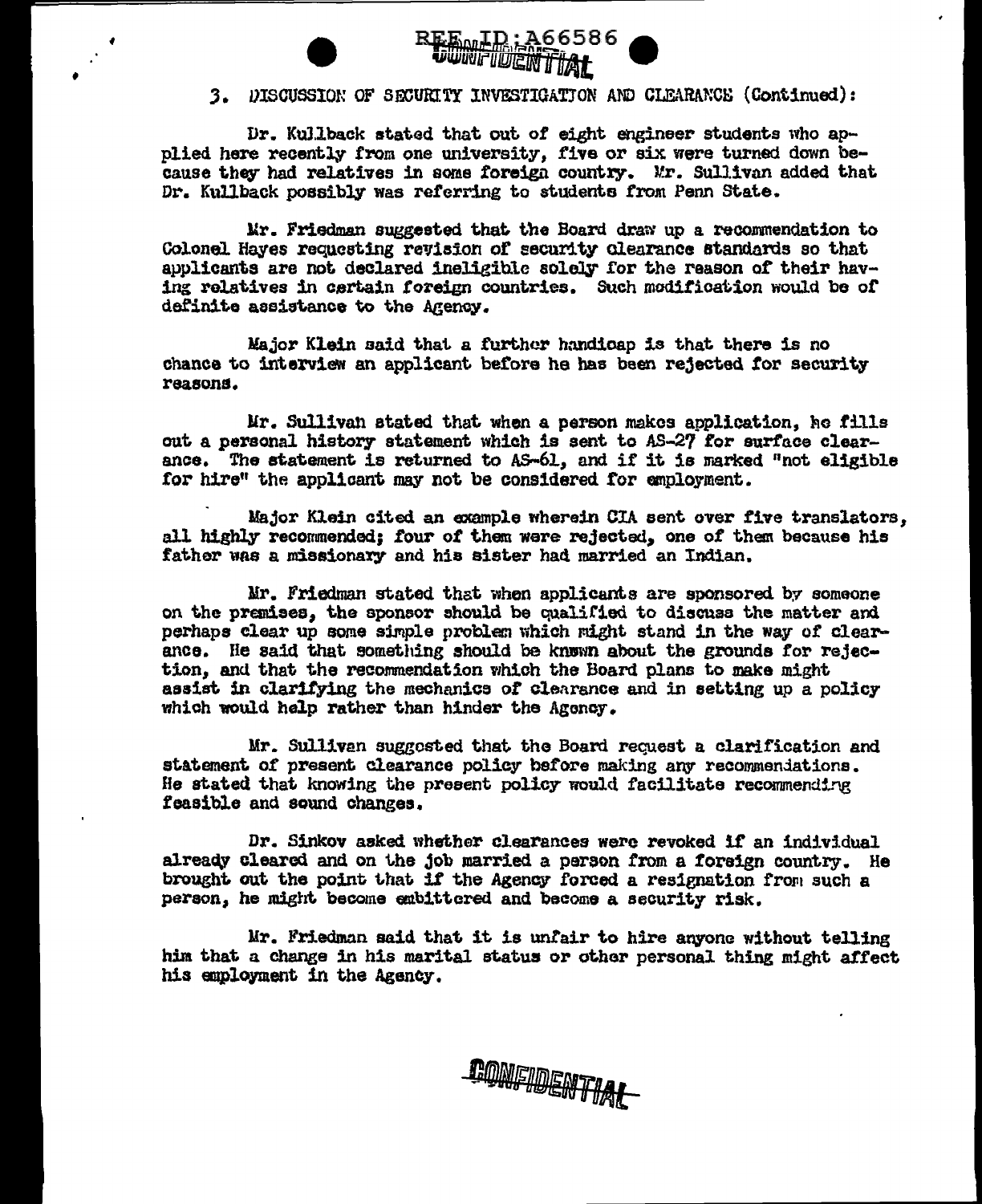



## 3. DISCUSSION OF SECURITY INVESTIGATION AND CLEARANCE (Continued):

Dr. Kullback stated that out of eight engineer students who applied here recently from one university, five or six were turned down because they had relatives in some foreign country. Mr. Sullivan added that Dr. Kullback possibly was referring to students from Penn State.

Mr. Friedman suggested that the Board draw up a recommendation to Colonel Hayes requesting revision of security clearance standards so that applicants are not declared ineligible solely for the reason of their having relatives in cartain foreign countries. Such modification would be of definite assistance to the Agency.

Major Klein said that a further handicap is that there is no chance to interview an applicant before he has been rejected for security reasons.

Mr. Sullivan stated that when a person makes application, he fills out a personal history statement which is sent to AS-27 for surface clearance. The statement is returned to AS-61, and if it is marked "not eligible for hire" the applicant may not be considered for employment.

Major Klein cited an example wherein CIA sent over five translators. all highly recommended: four of them were rejected, one of them because his father was a missionary and his sister had married an Indian.

Mr. Friedman stated that when applicants are sponsored by someone on the premises, the sponsor should be qualified to discuss the matter and perhaps clear up some simple problem which might stand in the way of clearance. He said that something should be known about the grounds for rejection, and that the recommendation which the Board plans to make might assist in clarifying the mechanics of clearance and in setting up a policy which would help rather than hinder the Agency.

Mr. Sulliven suggested that the Board request a clarification and statement of present clearance policy before making any recommendations. He stated that knowing the present policy would facilitate recommending feasible and sound changes.

Dr. Sinkov asked whether clearances were revoked if an individual already cleared and on the job married a person from a foreign country. He brought out the point that if the Agency forced a resignation from such a person, he might become embittered and become a security risk.

Mr. Friedman said that it is unfair to hire anyone without telling him that a change in his marital status or other personal thing might affect his employment in the Agency.